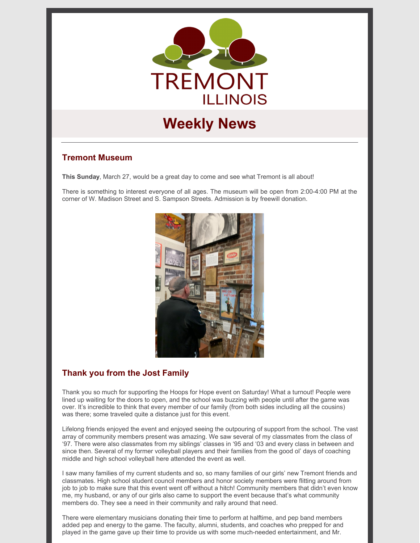

# **Weekly News**

# **Tremont Museum**

**This Sunday**, March 27, would be a great day to come and see what Tremont is all about!

There is something to interest everyone of all ages. The museum will be open from 2:00-4:00 PM at the corner of W. Madison Street and S. Sampson Streets. Admission is by freewill donation.



# **Thank you from the Jost Family**

Thank you so much for supporting the Hoops for Hope event on Saturday! What a turnout! People were lined up waiting for the doors to open, and the school was buzzing with people until after the game was over. It's incredible to think that every member of our family (from both sides including all the cousins) was there; some traveled quite a distance just for this event.

Lifelong friends enjoyed the event and enjoyed seeing the outpouring of support from the school. The vast array of community members present was amazing. We saw several of my classmates from the class of '97. There were also classmates from my siblings' classes in '95 and '03 and every class in between and since then. Several of my former volleyball players and their families from the good ol' days of coaching middle and high school volleyball here attended the event as well.

I saw many families of my current students and so, so many families of our girls' new Tremont friends and classmates. High school student council members and honor society members were flitting around from job to job to make sure that this event went off without a hitch! Community members that didn't even know me, my husband, or any of our girls also came to support the event because that's what community members do. They see a need in their community and rally around that need.

There were elementary musicians donating their time to perform at halftime, and pep band members added pep and energy to the game. The faculty, alumni, students, and coaches who prepped for and played in the game gave up their time to provide us with some much-needed entertainment, and Mr.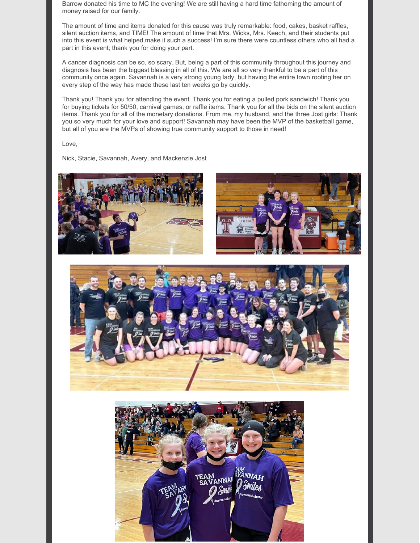Barrow donated his time to MC the evening! We are still having a hard time fathoming the amount of money raised for our family.

The amount of time and items donated for this cause was truly remarkable: food, cakes, basket raffles, silent auction items, and TIME! The amount of time that Mrs. Wicks, Mrs. Keech, and their students put into this event is what helped make it such a success! I'm sure there were countless others who all had a part in this event; thank you for doing your part.

A cancer diagnosis can be so, so scary. But, being a part of this community throughout this journey and diagnosis has been the biggest blessing in all of this. We are all so very thankful to be a part of this community once again. Savannah is a very strong young lady, but having the entire town rooting her on every step of the way has made these last ten weeks go by quickly.

Thank you! Thank you for attending the event. Thank you for eating a pulled pork sandwich! Thank you for buying tickets for 50/50, carnival games, or raffle items. Thank you for all the bids on the silent auction items. Thank you for all of the monetary donations. From me, my husband, and the three Jost girls: Thank you so very much for your love and support! Savannah may have been the MVP of the basketball game, but all of you are the MVPs of showing true community support to those in need!

Love,

Nick, Stacie, Savannah, Avery, and Mackenzie Jost





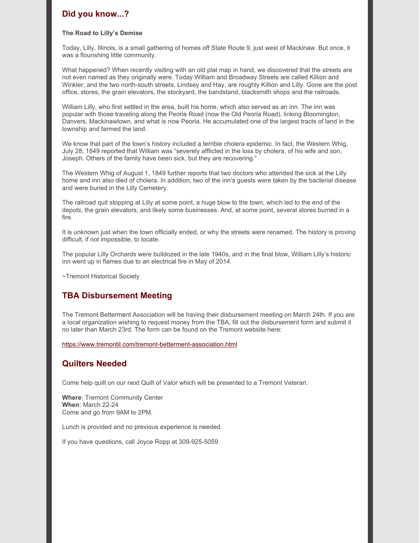# **Did you know...?**

#### **The Road to Lilly's Demise**

Today, Lilly, Illinois, is a small gathering of homes off State Route 9, just west of Mackinaw. But once, it was a flourishing little community.

What happened? When recently visiting with an old plat map in hand, we discovered that the streets are not even named as they originally were. Today William and Broadway Streets are called Killion and Winkler, and the two north-south streets, Lindsey and Hay, are roughly Killion and Lilly. Gone are the post office, stores, the grain elevators, the stockyard, the bandstand, blacksmith shops and the railroads.

William Lilly, who first settled in the area, built his home, which also served as an inn. The inn was popular with those traveling along the Peoria Road (now the Old Peoria Road), linking Bloomington, Danvers, Mackinawtown, and what is now Peoria. He accumulated one of the largest tracts of land in the township and farmed the land.

We know that part of the town's history included a terrible cholera epidemic. In fact, the Western Whig, July 28, 1849 reported that William was "severely afflicted in the loss by cholera, of his wife and son, Joseph. Others of the family have been sick, but they are recovering."

The Western Whig of August 1, 1849 further reports that two doctors who attended the sick at the Lilly home and inn also died of cholera. In addition, two of the inn's guests were taken by the bacterial disease and were buried in the Lilly Cemetery.

The railroad quit stopping at Lilly at some point, a huge blow to the town, which led to the end of the depots, the grain elevators, and likely some businesses. And, at some point, several stores burned in a fire.

It is unknown just when the town officially ended, or why the streets were renamed. The history is proving difficult, if not impossible, to locate.

The popular Lilly Orchards were bulldozed in the late 1940s, and in the final blow, William Lilly's historic inn went up in flames due to an electrical fire in May of 2014.

~Tremont Historical Society

# **TBA Disbursement Meeting**

The Tremont Betterment Association will be having their disbursement meeting on March 24th. If you are a local organization wishing to request money from the TBA, fill out the disbursement form and submit it no later than March 23rd. The form can be found on the Tremont website here:

<https://www.tremontil.com/tremont-betterment-association.html>

#### **Quilters Needed**

Come help quilt on our next Quilt of Valor which will be presented to a Tremont Veteran.

**Where**: Tremont Community Center **When**: March 22-24 Come and go from 9AM to 2PM.

Lunch is provided and no previous experience is needed.

If you have questions, call Joyce Ropp at 309-925-5059.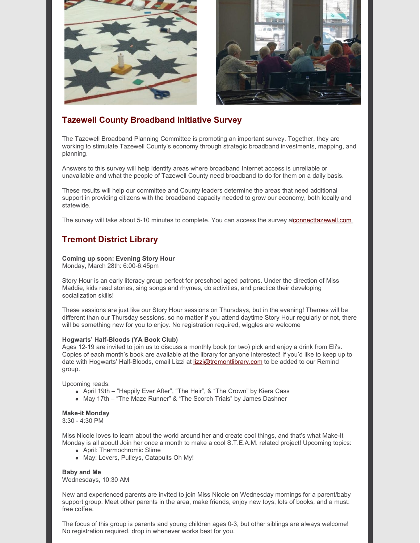

# **Tazewell County Broadband Initiative Survey**

The Tazewell Broadband Planning Committee is promoting an important survey. Together, they are working to stimulate Tazewell County's economy through strategic broadband investments, mapping, and planning.

Answers to this survey will help identify areas where broadband Internet access is unreliable or unavailable and what the people of Tazewell County need broadband to do for them on a daily basis.

These results will help our committee and County leaders determine the areas that need additional support in providing citizens with the broadband capacity needed to grow our economy, both locally and statewide.

The survey will take about 5-10 minutes to complete. You can access the survey [atconnecttazewell.com](http://connecttazewell.com/)

# **Tremont District Library**

**Coming up soon: Evening Story Hour** Monday, March 28th: 6:00-6:45pm

Story Hour is an early literacy group perfect for preschool aged patrons. Under the direction of Miss

Maddie, kids read stories, sing songs and rhymes, do activities, and practice their developing socialization skills!

These sessions are just like our Story Hour sessions on Thursdays, but in the evening! Themes will be different than our Thursday sessions, so no matter if you attend daytime Story Hour regularly or not, there will be something new for you to enjoy. No registration required, wiggles are welcome

#### **Hogwarts' Half-Bloods (YA Book Club)**

Ages 12-19 are invited to join us to discuss a monthly book (or two) pick and enjoy a drink from Eli's. Copies of each month's book are available at the library for anyone interested! If you'd like to keep up to date with Hogwarts' Half-Bloods, email Lizzi at [lizzi@tremontlibrary.com](mailto:lizzi@tremontlibrary.com) to be added to our Remind group.

Upcoming reads:

- April 19th "Happily Ever After", "The Heir", & "The Crown" by Kiera Cass
- May 17th "The Maze Runner" & "The Scorch Trials" by James Dashner

#### **Make-it Monday**

3:30 - 4:30 PM

Miss Nicole loves to learn about the world around her and create cool things, and that's what Make-It Monday is all about! Join her once a month to make a cool S.T.E.A.M. related project! Upcoming topics:

- April: Thermochromic Slime
- May: Levers, Pulleys, Catapults Oh My!

**Baby and Me** Wednesdays, 10:30 AM

New and experienced parents are invited to join Miss Nicole on Wednesday mornings for a parent/baby support group. Meet other parents in the area, make friends, enjoy new toys, lots of books, and a must: free coffee.

The focus of this group is parents and young children ages 0-3, but other siblings are always welcome! No registration required, drop in whenever works best for you.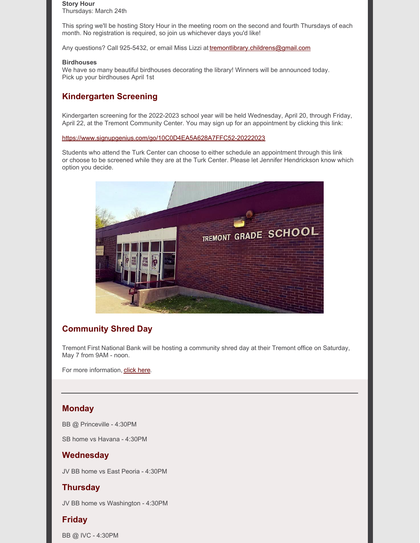# **Story Hour**

Thursdays: March 24th

This spring we'll be hosting Story Hour in the meeting room on the second and fourth Thursdays of each month. No registration is required, so join us whichever days you'd like!

Any questions? Call 925-5432, or email Miss Lizzi at [tremontlibrary.childrens@gmail.com](mailto:tremontlibrary.childrens@gmail.com)

#### **Birdhouses**

We have so many beautiful birdhouses decorating the library! Winners will be announced today. Pick up your birdhouses April 1st

# **Kindergarten Screening**

Kindergarten screening for the 2022-2023 school year will be held Wednesday, April 20, through Friday, April 22, at the Tremont Community Center. You may sign up for an appointment by clicking this link:

<https://www.signupgenius.com/go/10C0D4EA5A628A7FFC52-20222023>

Students who attend the Turk Center can choose to either schedule an appointment through this link or choose to be screened while they are at the Turk Center. Please let Jennifer Hendrickson know which option you decide.



# **Community Shred Day**

Tremont First National Bank will be hosting a community shred day at their Tremont office on Saturday, May 7 from 9AM - noon.

For more information, click [here.](https://www.tremontil.com/Tremont-news/2022/Shred_Day.pdf)

### **Monday**

BB @ Princeville - 4:30PM

SB home vs Havana - 4:30PM

# **Wednesday**

JV BB home vs East Peoria - 4:30PM

# **Thursday**

JV BB home vs Washington - 4:30PM

# **Friday**

BB @ IVC - 4:30PM